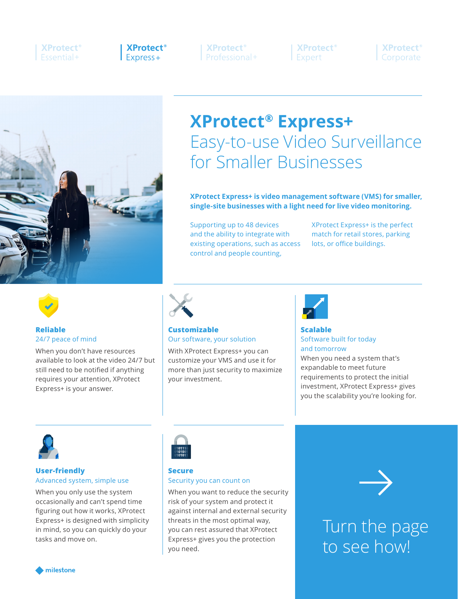# **XProtect**<sup>®</sup> **Fssential+**



**XProtect**<sup>®</sup> Professional+

**XProtect**<sup>®</sup> Expert

**XProtect**<sup>®</sup> Corporate



# **XProtect® Express+** Easy-to-use Video Surveillance for Smaller Businesses

# **XProtect Express+ is video management software (VMS) for smaller, single-site businesses with a light need for live video monitoring.**

Supporting up to 48 devices and the ability to integrate with existing operations, such as access control and people counting,

XProtect Express+ is the perfect match for retail stores, parking lots, or office buildings.



#### **Reliable** 24/7 peace of mind

When you don't have resources available to look at the video 24/7 but still need to be notified if anything requires your attention, XProtect Express+ is your answer.



#### **Customizable** Our software, your solution

With XProtect Express+ you can customize your VMS and use it for more than just security to maximize your investment.



# **Scalable** Software built for today and tomorrow

When you need a system that's expandable to meet future requirements to protect the initial investment, XProtect Express+ gives you the scalability you're looking for.



### **User-friendly** Advanced system, simple use

When you only use the system occasionally and can't spend time figuring out how it works, XProtect Express+ is designed with simplicity in mind, so you can quickly do your tasks and move on.



# **Secure** Security you can count on

When you want to reduce the security risk of your system and protect it against internal and external security threats in the most optimal way, you can rest assured that XProtect Express+ gives you the protection you need.



Turn the page to see how!